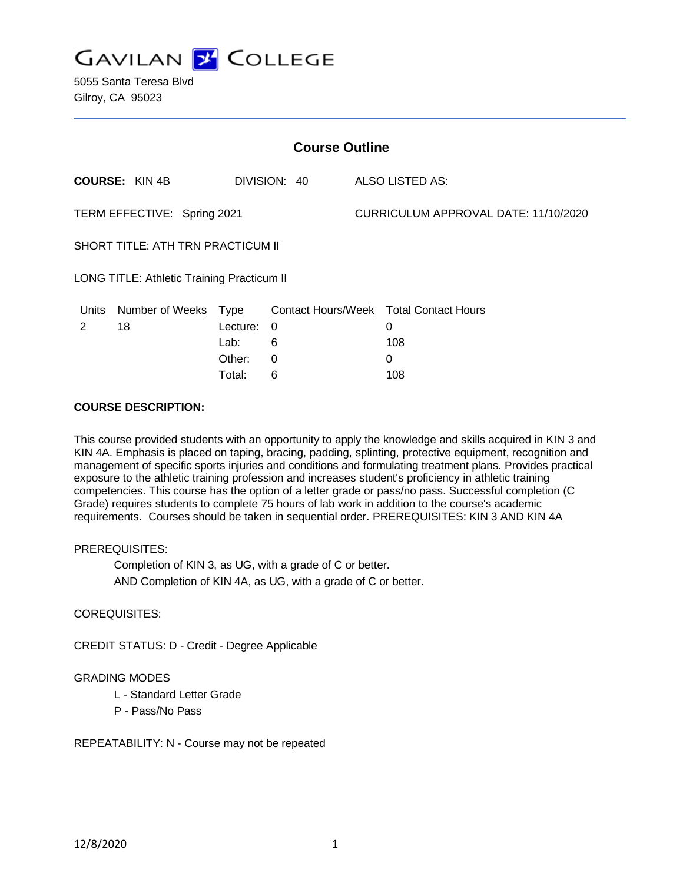

| <b>Course Outline</b>                      |                       |          |              |  |                                        |  |
|--------------------------------------------|-----------------------|----------|--------------|--|----------------------------------------|--|
|                                            | <b>COURSE: KIN 4B</b> |          | DIVISION: 40 |  | ALSO LISTED AS:                        |  |
| TERM EFFECTIVE: Spring 2021                |                       |          |              |  | CURRICULUM APPROVAL DATE: 11/10/2020   |  |
| SHORT TITLE: ATH TRN PRACTICUM II          |                       |          |              |  |                                        |  |
| LONG TITLE: Athletic Training Practicum II |                       |          |              |  |                                        |  |
| Units                                      | Number of Weeks Type  |          |              |  | Contact Hours/Week Total Contact Hours |  |
| 2                                          | 18                    | Lecture: | 0            |  | 0                                      |  |
|                                            |                       | Lab:     | 6            |  | 108                                    |  |
|                                            |                       | Other:   | 0            |  | 0                                      |  |

#### **COURSE DESCRIPTION:**

This course provided students with an opportunity to apply the knowledge and skills acquired in KIN 3 and KIN 4A. Emphasis is placed on taping, bracing, padding, splinting, protective equipment, recognition and management of specific sports injuries and conditions and formulating treatment plans. Provides practical exposure to the athletic training profession and increases student's proficiency in athletic training competencies. This course has the option of a letter grade or pass/no pass. Successful completion (C Grade) requires students to complete 75 hours of lab work in addition to the course's academic requirements. Courses should be taken in sequential order. PREREQUISITES: KIN 3 AND KIN 4A

Total: 6 108

#### PREREQUISITES:

Completion of KIN 3, as UG, with a grade of C or better. AND Completion of KIN 4A, as UG, with a grade of C or better.

#### COREQUISITES:

CREDIT STATUS: D - Credit - Degree Applicable

### GRADING MODES

- L Standard Letter Grade
- P Pass/No Pass

REPEATABILITY: N - Course may not be repeated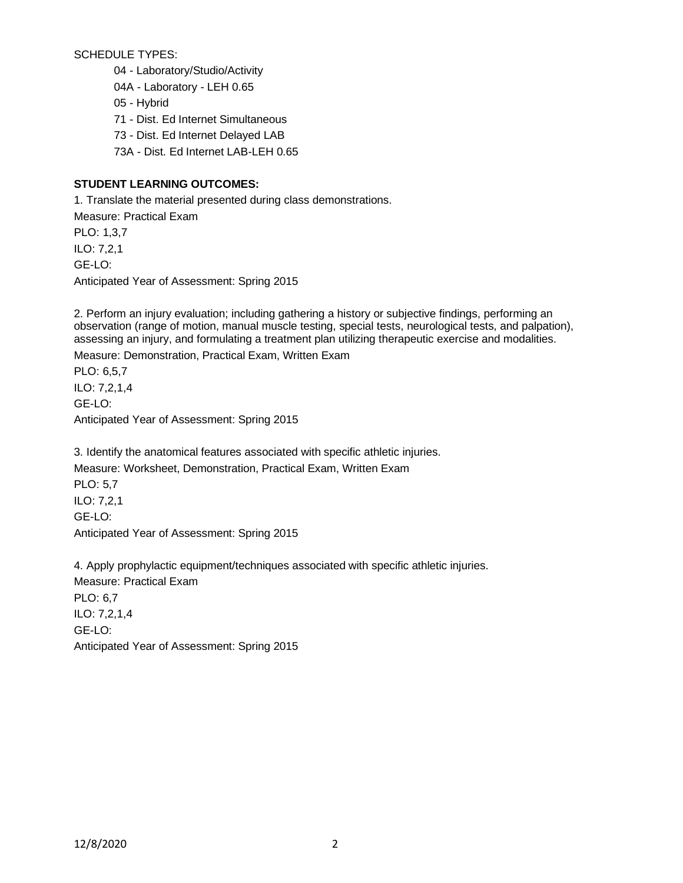SCHEDULE TYPES:

04 - Laboratory/Studio/Activity

04A - Laboratory - LEH 0.65

05 - Hybrid

71 - Dist. Ed Internet Simultaneous

73 - Dist. Ed Internet Delayed LAB

73A - Dist. Ed Internet LAB-LEH 0.65

## **STUDENT LEARNING OUTCOMES:**

1. Translate the material presented during class demonstrations.

Measure: Practical Exam PLO: 1,3,7 ILO: 7,2,1 GE-LO: Anticipated Year of Assessment: Spring 2015

2. Perform an injury evaluation; including gathering a history or subjective findings, performing an observation (range of motion, manual muscle testing, special tests, neurological tests, and palpation), assessing an injury, and formulating a treatment plan utilizing therapeutic exercise and modalities.

Measure: Demonstration, Practical Exam, Written Exam

PLO: 6,5,7 ILO: 7,2,1,4 GE-LO: Anticipated Year of Assessment: Spring 2015

3. Identify the anatomical features associated with specific athletic injuries.

Measure: Worksheet, Demonstration, Practical Exam, Written Exam PLO: 5,7 ILO: 7,2,1 GE-LO: Anticipated Year of Assessment: Spring 2015

4. Apply prophylactic equipment/techniques associated with specific athletic injuries. Measure: Practical Exam PLO: 6,7 ILO: 7,2,1,4 GE-LO: Anticipated Year of Assessment: Spring 2015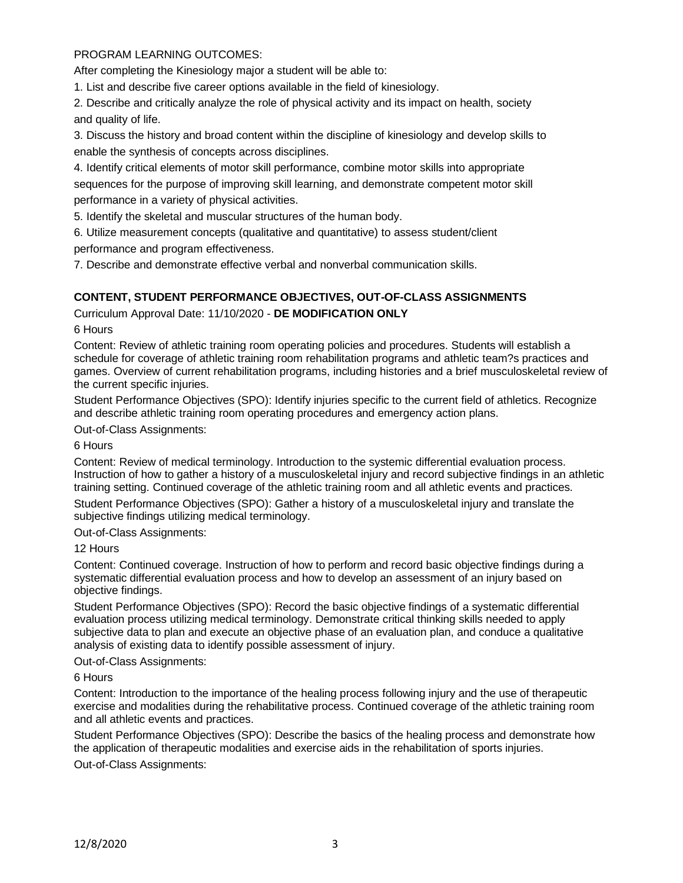# PROGRAM LEARNING OUTCOMES:

After completing the Kinesiology major a student will be able to:

1. List and describe five career options available in the field of kinesiology.

2. Describe and critically analyze the role of physical activity and its impact on health, society and quality of life.

3. Discuss the history and broad content within the discipline of kinesiology and develop skills to enable the synthesis of concepts across disciplines.

4. Identify critical elements of motor skill performance, combine motor skills into appropriate sequences for the purpose of improving skill learning, and demonstrate competent motor skill performance in a variety of physical activities.

5. Identify the skeletal and muscular structures of the human body.

6. Utilize measurement concepts (qualitative and quantitative) to assess student/client performance and program effectiveness.

7. Describe and demonstrate effective verbal and nonverbal communication skills.

# **CONTENT, STUDENT PERFORMANCE OBJECTIVES, OUT-OF-CLASS ASSIGNMENTS**

Curriculum Approval Date: 11/10/2020 - **DE MODIFICATION ONLY**

#### 6 Hours

Content: Review of athletic training room operating policies and procedures. Students will establish a schedule for coverage of athletic training room rehabilitation programs and athletic team?s practices and games. Overview of current rehabilitation programs, including histories and a brief musculoskeletal review of the current specific injuries.

Student Performance Objectives (SPO): Identify injuries specific to the current field of athletics. Recognize and describe athletic training room operating procedures and emergency action plans.

Out-of-Class Assignments:

#### 6 Hours

Content: Review of medical terminology. Introduction to the systemic differential evaluation process. Instruction of how to gather a history of a musculoskeletal injury and record subjective findings in an athletic training setting. Continued coverage of the athletic training room and all athletic events and practices. Student Performance Objectives (SPO): Gather a history of a musculoskeletal injury and translate the subjective findings utilizing medical terminology.

Out-of-Class Assignments:

### 12 Hours

Content: Continued coverage. Instruction of how to perform and record basic objective findings during a systematic differential evaluation process and how to develop an assessment of an injury based on objective findings.

Student Performance Objectives (SPO): Record the basic objective findings of a systematic differential evaluation process utilizing medical terminology. Demonstrate critical thinking skills needed to apply subjective data to plan and execute an objective phase of an evaluation plan, and conduce a qualitative analysis of existing data to identify possible assessment of injury.

### Out-of-Class Assignments:

#### 6 Hours

Content: Introduction to the importance of the healing process following injury and the use of therapeutic exercise and modalities during the rehabilitative process. Continued coverage of the athletic training room and all athletic events and practices.

Student Performance Objectives (SPO): Describe the basics of the healing process and demonstrate how the application of therapeutic modalities and exercise aids in the rehabilitation of sports injuries.

Out-of-Class Assignments: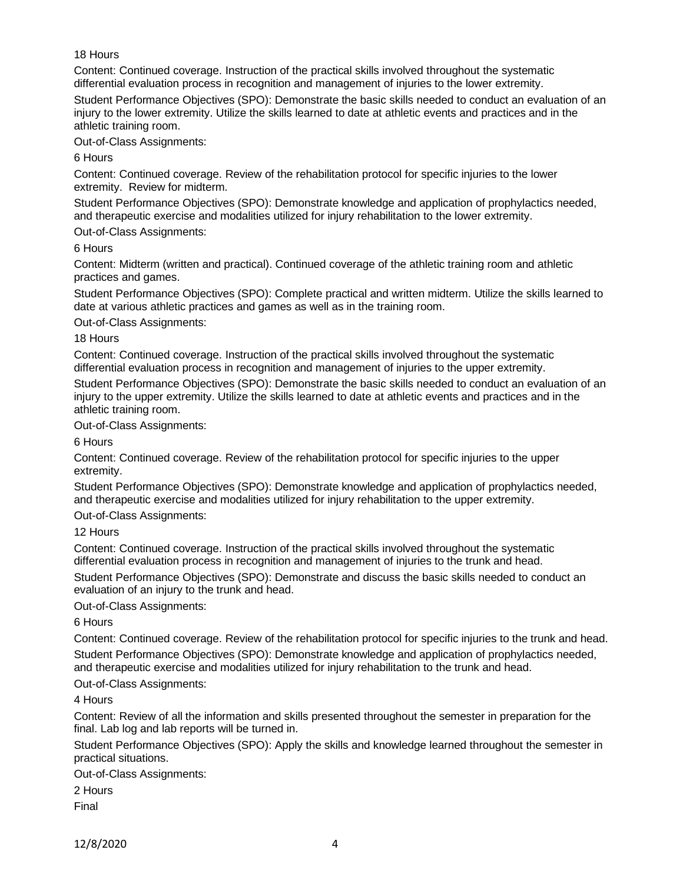### 18 Hours

Content: Continued coverage. Instruction of the practical skills involved throughout the systematic differential evaluation process in recognition and management of injuries to the lower extremity.

Student Performance Objectives (SPO): Demonstrate the basic skills needed to conduct an evaluation of an injury to the lower extremity. Utilize the skills learned to date at athletic events and practices and in the athletic training room.

Out-of-Class Assignments:

6 Hours

Content: Continued coverage. Review of the rehabilitation protocol for specific injuries to the lower extremity. Review for midterm.

Student Performance Objectives (SPO): Demonstrate knowledge and application of prophylactics needed, and therapeutic exercise and modalities utilized for injury rehabilitation to the lower extremity.

Out-of-Class Assignments:

#### 6 Hours

Content: Midterm (written and practical). Continued coverage of the athletic training room and athletic practices and games.

Student Performance Objectives (SPO): Complete practical and written midterm. Utilize the skills learned to date at various athletic practices and games as well as in the training room.

Out-of-Class Assignments:

#### 18 Hours

Content: Continued coverage. Instruction of the practical skills involved throughout the systematic differential evaluation process in recognition and management of injuries to the upper extremity.

Student Performance Objectives (SPO): Demonstrate the basic skills needed to conduct an evaluation of an injury to the upper extremity. Utilize the skills learned to date at athletic events and practices and in the athletic training room.

Out-of-Class Assignments:

6 Hours

Content: Continued coverage. Review of the rehabilitation protocol for specific injuries to the upper extremity.

Student Performance Objectives (SPO): Demonstrate knowledge and application of prophylactics needed, and therapeutic exercise and modalities utilized for injury rehabilitation to the upper extremity.

Out-of-Class Assignments:

12 Hours

Content: Continued coverage. Instruction of the practical skills involved throughout the systematic differential evaluation process in recognition and management of injuries to the trunk and head.

Student Performance Objectives (SPO): Demonstrate and discuss the basic skills needed to conduct an evaluation of an injury to the trunk and head.

Out-of-Class Assignments:

6 Hours

Content: Continued coverage. Review of the rehabilitation protocol for specific injuries to the trunk and head. Student Performance Objectives (SPO): Demonstrate knowledge and application of prophylactics needed, and therapeutic exercise and modalities utilized for injury rehabilitation to the trunk and head.

Out-of-Class Assignments:

4 Hours

Content: Review of all the information and skills presented throughout the semester in preparation for the final. Lab log and lab reports will be turned in.

Student Performance Objectives (SPO): Apply the skills and knowledge learned throughout the semester in practical situations.

Out-of-Class Assignments:

2 Hours Final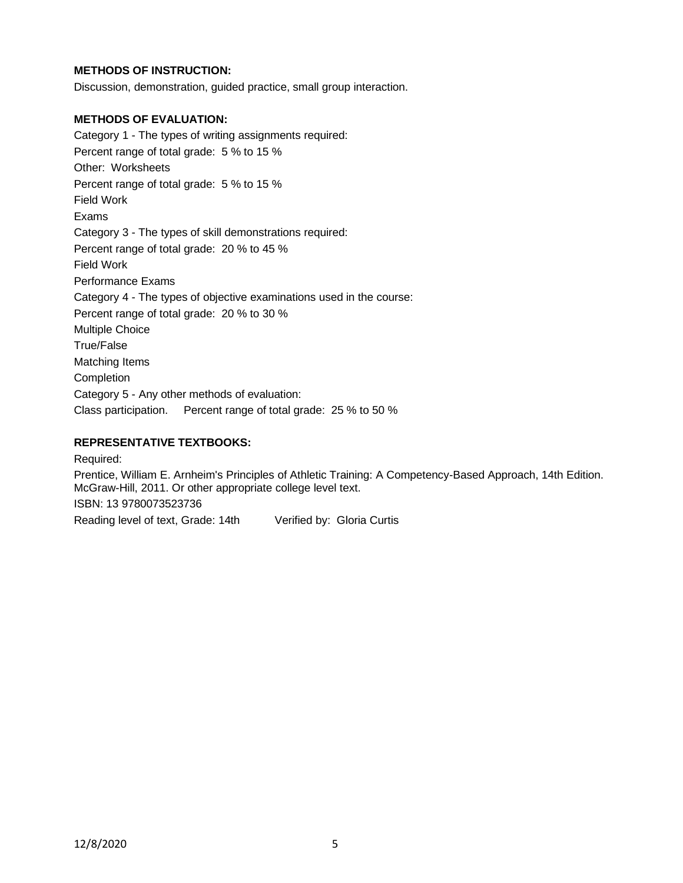## **METHODS OF INSTRUCTION:**

Discussion, demonstration, guided practice, small group interaction.

## **METHODS OF EVALUATION:**

Category 1 - The types of writing assignments required: Percent range of total grade: 5 % to 15 % Other: Worksheets Percent range of total grade: 5 % to 15 % Field Work Exams Category 3 - The types of skill demonstrations required: Percent range of total grade: 20 % to 45 % Field Work Performance Exams Category 4 - The types of objective examinations used in the course: Percent range of total grade: 20 % to 30 % Multiple Choice True/False Matching Items Completion Category 5 - Any other methods of evaluation: Class participation. Percent range of total grade: 25 % to 50 %

## **REPRESENTATIVE TEXTBOOKS:**

Required: Prentice, William E. Arnheim's Principles of Athletic Training: A Competency-Based Approach, 14th Edition. McGraw-Hill, 2011. Or other appropriate college level text.

ISBN: 13 9780073523736

Reading level of text, Grade: 14th Verified by: Gloria Curtis